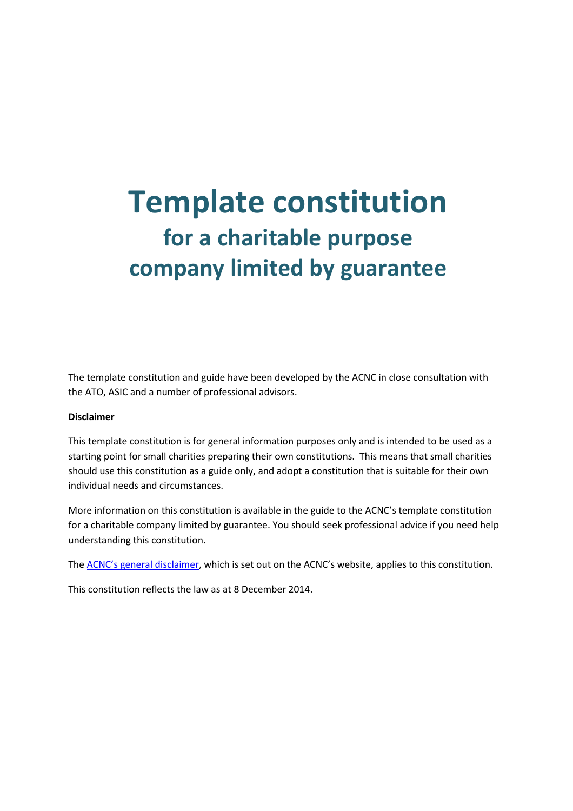# **Template constitution for a charitable purpose company limited by guarantee**

The template constitution and guide have been developed by the ACNC in close consultation with the ATO, ASIC and a number of professional advisors.

#### **Disclaimer**

This template constitution is for general information purposes only and is intended to be used as a starting point for small charities preparing their own constitutions. This means that small charities should use this constitution as a guide only, and adopt a constitution that is suitable for their own individual needs and circumstances.

More information on this constitution is available in the guide to the ACNC's template constitution for a charitable company limited by guarantee. You should seek professional advice if you need help understanding this constitution.

The [ACNC's general disclaimer,](http://acnc.gov.au/ACNC/About_ACNC/Site_information/Disclaimer/ACNC/Site/Disclaimer.aspx) which is set out on the ACNC's website, applies to this constitution.

This constitution reflects the law as at 8 December 2014.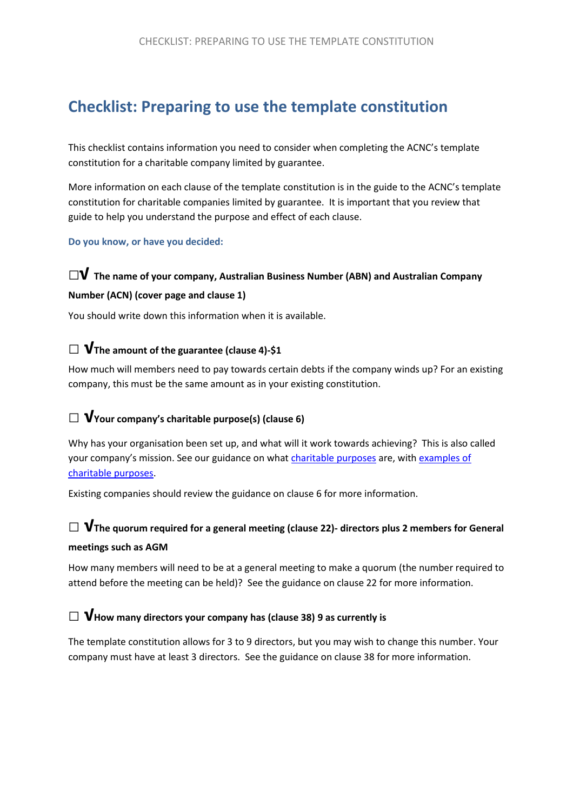# **Checklist: Preparing to use the template constitution**

This checklist contains information you need to consider when completing the ACNC's template constitution for a charitable company limited by guarantee.

More information on each clause of the template constitution is in the guide to the ACNC's template constitution for charitable companies limited by guarantee. It is important that you review that guide to help you understand the purpose and effect of each clause.

**Do you know, or have you decided:**

# **□√ The name of your company, Australian Business Number (ABN) and Australian Company**

### **Number (ACN) (cover page and clause 1)**

You should write down this information when it is available.

# **□ √The amount of the guarantee (clause 4)-\$1**

How much will members need to pay towards certain debts if the company winds up? For an existing company, this must be the same amount as in your existing constitution.

### **□ √Your company's charitable purpose(s) (clause 6)**

Why has your organisation been set up, and what will it work towards achieving? This is also called your company's mission. See our guidance on what [charitable purposes](http://www.acnc.gov.au/ACNC/Register_my_charity/Who_can_register/What_char_purp/ACNC/Reg/Charitable_purpose.aspx) are, with examples of [charitable purposes.](http://acnc.gov.au/ACNC/Publications/Templates/Example_CharitablePurpose.aspx)

Existing companies should review the guidance on clause 6 for more information.

### **□ √The quorum required for a general meeting (clause 22)- directors plus 2 members for General meetings such as AGM**

How many members will need to be at a general meeting to make a quorum (the number required to attend before the meeting can be held)? See the guidance on clause 22 for more information.

### **□ √How many directors your company has (clause 38) 9 as currently is**

The template constitution allows for 3 to 9 directors, but you may wish to change this number. Your company must have at least 3 directors. See the guidance on clause 38 for more information.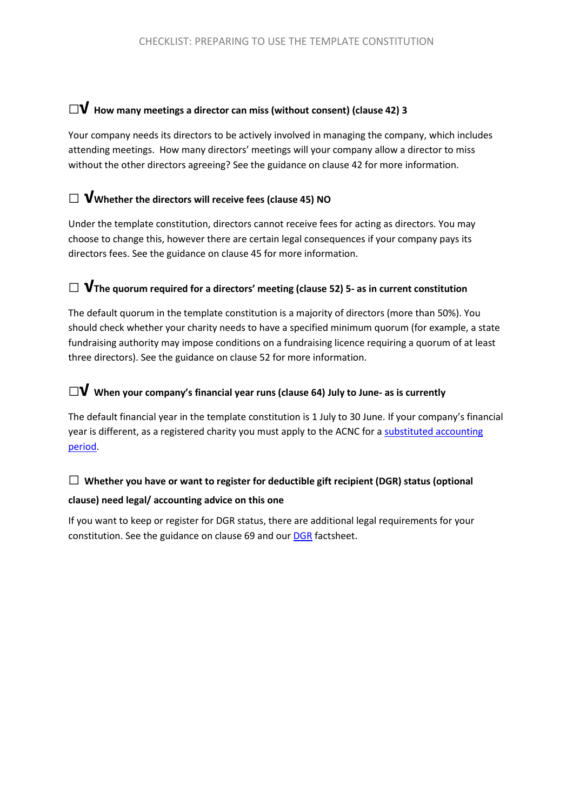### **□√ How many meetings a director can miss (without consent) (clause 42) <sup>3</sup>**

Your company needs its directors to be actively involved in managing the company, which includes attending meetings. How many directors' meetings will your company allow a director to miss without the other directors agreeing? See the guidance on clause 42 for more information.

### **□ √Whether the directors will receive fees (clause 45) NO**

Under the template constitution, directors cannot receive fees for acting as directors. You may choose to change this, however there are certain legal consequences if your company pays its directors fees. See the guidance on clause 45 for more information.

### **□ √The quorum required for a directors' meeting (clause 52) 5- as in current constitution**

The default quorum in the template constitution is a majority of directors (more than 50%). You should check whether your charity needs to have a specified minimum quorum (for example, a state fundraising authority may impose conditions on a fundraising licence requiring a quorum of at least three directors). See the guidance on clause 52 for more information.

# **□√ When your company's financial year runs (clause 64) July to June- as is currently**

The default financial year in the template constitution is 1 July to 30 June. If your company's financial year is different, as a registered charity you must apply to the ACNC for a substituted accounting [period.](http://www.acnc.gov.au/ACNC/Manage/Reporting/Reporting/ACNC/Report/ReportDue.aspx)

# **□ Whether you have or want to register for deductible gift recipient (DGR) status (optional**

### **clause) need legal/ accounting advice on this one**

If you want to keep or register for DGR status, there are additional legal requirements for your constitution. See the guidance on clause 69 and ou[r DGR](http://acnc.gov.au/ACNC/FTS/Fact_DGR.aspx) factsheet.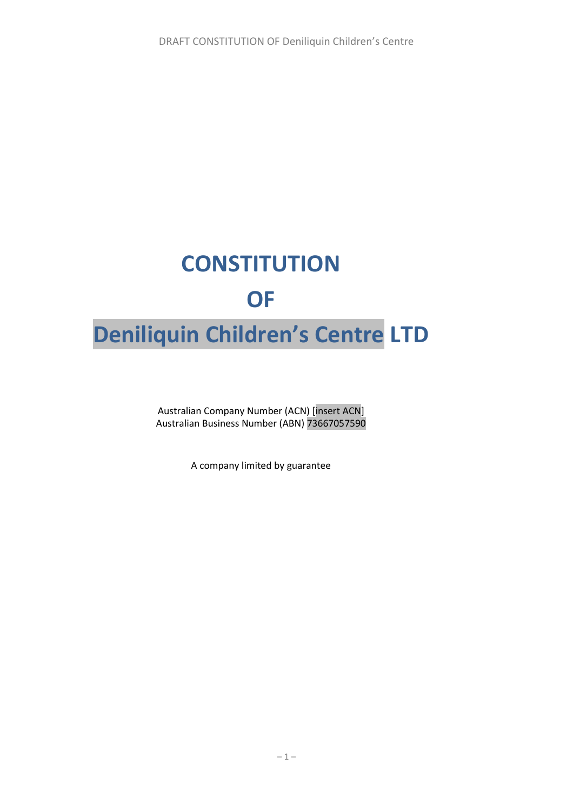# **CONSTITUTION OF Deniliquin Children's Centre LTD**

Australian Company Number (ACN) [insert ACN] Australian Business Number (ABN) 73667057590

A company limited by guarantee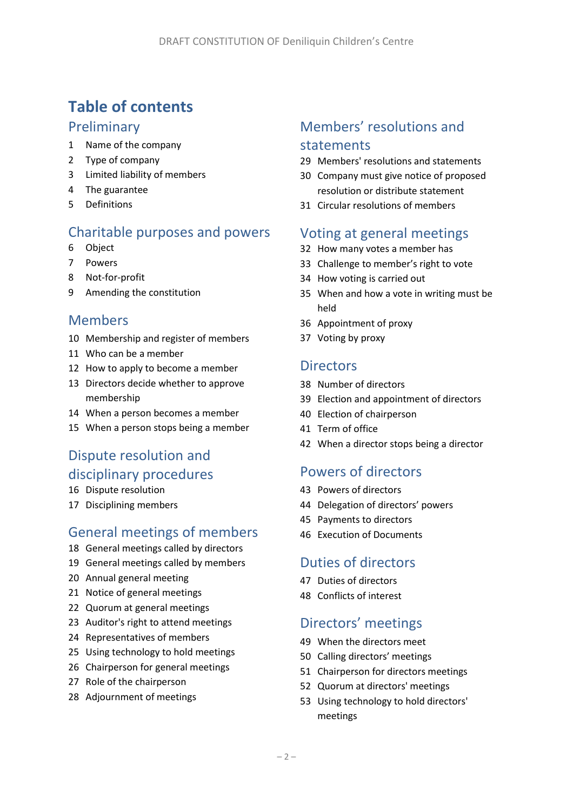# **Table of contents**

# Preliminary

- Name of the company
- Type of company
- Limited liability of members
- The guarantee
- Definitions

# Charitable purposes and powers

- <span id="page-5-3"></span>Object
- Powers
- Not-for-profit
- Amending the constitution

# Members

- Membership and register of members
- Who can be a member
- How to apply to become a member
- Directors decide whether to approve membership
- When a person becomes a member
- When a person stops being a member

# Dispute resolution and disciplinary procedures

- Dispute resolution
- <span id="page-5-0"></span>Disciplining members

# General meetings of members

- General meetings called by directors
- General meetings called by members
- Annual general meeting
- Notice of general meetings
- Quorum at general meetings
- Auditor's right to attend meetings
- Representatives of members
- Using technology to hold meetings
- Chairperson for general meetings
- Role of the chairperson
- Adjournment of meetings

# Members' resolutions and statements

- <span id="page-5-1"></span>Members' resolutions and statements
- <span id="page-5-5"></span> Company must give notice of proposed resolution or distribute statement
- Circular resolutions of members

### Voting at general meetings

- How many votes a member has
- Challenge to member's right to vote
- How voting is carried out
- When and how a vote in writing must be held
- Appointment of proxy
- Voting by proxy

### **Directors**

- Number of directors
- <span id="page-5-2"></span>Election and appointment of directors
- Election of chairperson
- Term of office
- When a director stops being a director

# Powers of directors

- Powers of directors
- <span id="page-5-4"></span>Delegation of directors' powers
- Payments to directors
- Execution of Documents

# Duties of directors

- Duties of directors
- Conflicts of interest

# Directors' meetings

- When the directors meet
- Calling directors' meetings
- Chairperson for directors meetings
- Quorum at directors' meetings
- Using technology to hold directors' meetings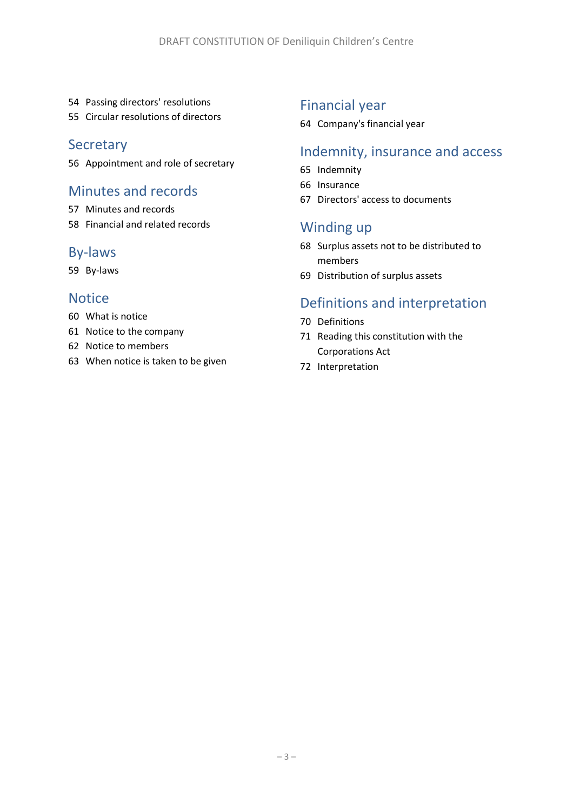- Passing directors' resolutions
- Circular resolutions of directors

### **Secretary**

Appointment and role of secretary

# Minutes and records

- Minutes and records
- Financial and related records

### By-laws

By-laws

### **Notice**

- What is notice
- Notice to the company
- Notice to members
- When notice is taken to be given

# Financial year

Company's financial year

# Indemnity, insurance and access

- Indemnity
- Insurance
- Directors' access to documents

# Winding up

- Surplus assets not to be distributed to members
- Distribution of surplus assets

# Definitions and interpretation

- Definitions
- Reading this constitution with the Corporations Act
- Interpretation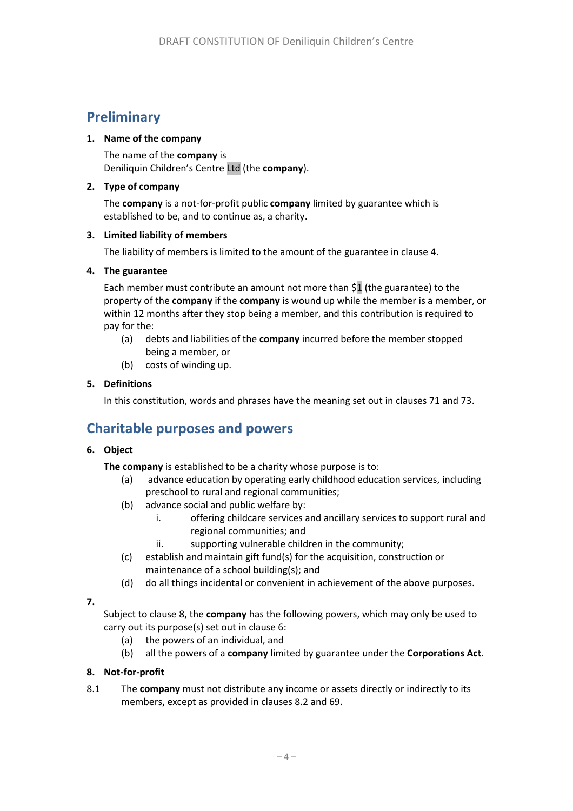# **Preliminary**

### <span id="page-7-3"></span>**1. Name of the company**

The name of the **company** is Deniliquin Children's Centre Ltd (the **company**).

### **2. Type of company**

The **company** is a not-for-profit public **company** limited by guarantee which is established to be, and to continue as, a charity.

### **3. Limited liability of members**

The liability of members is limited to the amount of the guarantee in clause [4.](#page-7-0)

### <span id="page-7-0"></span>**4. The guarantee**

Each member must contribute an amount not more than \$1 (the guarantee) to the property of the **company** if the **company** is wound up while the member is a member, or within 12 months after they stop being a member, and this contribution is required to pay for the:

- (a) debts and liabilities of the **company** incurred before the member stopped being a member, or
- (b) costs of winding up.

### **5. Definitions**

In this constitution, words and phrases have the meaning set out in clause[s 71](#page-26-0) an[d 73.](#page-27-0)

# **Charitable purposes and powers**

### **6. Object**

**The company** is established to be a charity whose purpose is to:

- (a) advance education by operating early childhood education services, including preschool to rural and regional communities;
- (b) advance social and public welfare by:
	- i. offering childcare services and ancillary services to support rural and regional communities; and
	- ii. supporting vulnerable children in the community;
- (c) establish and maintain gift fund(s) for the acquisition, construction or maintenance of a school building(s); and
- (d) do all things incidental or convenient in achievement of the above purposes.

### **7.**

Subject to clause [8,](#page-7-1) the **company** has the following powers, which may only be used to carry out its purpose(s) set out in clause 6:

- (a) the powers of an individual, and
- (b) all the powers of a **company** limited by guarantee under the **Corporations Act**.

### <span id="page-7-1"></span>**8. Not-for-profit**

<span id="page-7-2"></span>8.1 The **company** must not distribute any income or assets directly or indirectly to its members, except as provided in clauses [8.2](#page-8-0) and [69.](#page-26-1)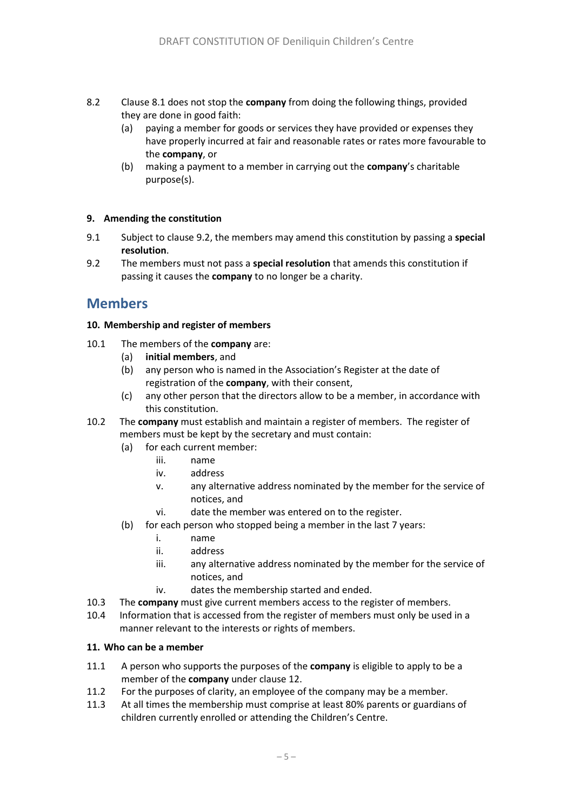- <span id="page-8-0"></span>8.2 Claus[e 8.1](#page-7-2) does not stop the **company** from doing the following things, provided they are done in good faith:
	- (a) paying a member for goods or services they have provided or expenses they have properly incurred at fair and reasonable rates or rates more favourable to the **company**, or
	- (b) making a payment to a member in carrying out the **company**'s charitable purpose(s).

### **9. Amending the constitution**

- 9.1 Subject to clause [9.2,](#page-8-1) the members may amend this constitution by passing a **special resolution**.
- <span id="page-8-1"></span>9.2 The members must not pass a **special resolution** that amends this constitution if passing it causes the **company** to no longer be a charity.

# **Members**

### **10. Membership and register of members**

- 10.1 The members of the **company** are:
	- (a) **initial members**, and
	- (b) any person who is named in the Association's Register at the date of registration of the **company**, with their consent,
	- (c) any other person that the directors allow to be a member, in accordance with this constitution.
- 10.2 The **company** must establish and maintain a register of members. The register of members must be kept by the secretary and must contain:
	- (a) for each current member:
		- iii. name
		- iv. address
		- v. any alternative address nominated by the member for the service of notices, and
		- vi. date the member was entered on to the register.
	- (b) for each person who stopped being a member in the last 7 years:
		- i. name
		- ii. address
		- iii. any alternative address nominated by the member for the service of notices, and
		- iv. dates the membership started and ended.
- 10.3 The **company** must give current members access to the register of members.
- 10.4 Information that is accessed from the register of members must only be used in a manner relevant to the interests or rights of members.

### **11. Who can be a member**

- 11.1 A person who supports the purposes of the **company** is eligible to apply to be a member of the **company** under claus[e 12.](#page-9-0)
- 11.2 For the purposes of clarity, an employee of the company may be a member.
- 11.3 At all times the membership must comprise at least 80% parents or guardians of children currently enrolled or attending the Children's Centre.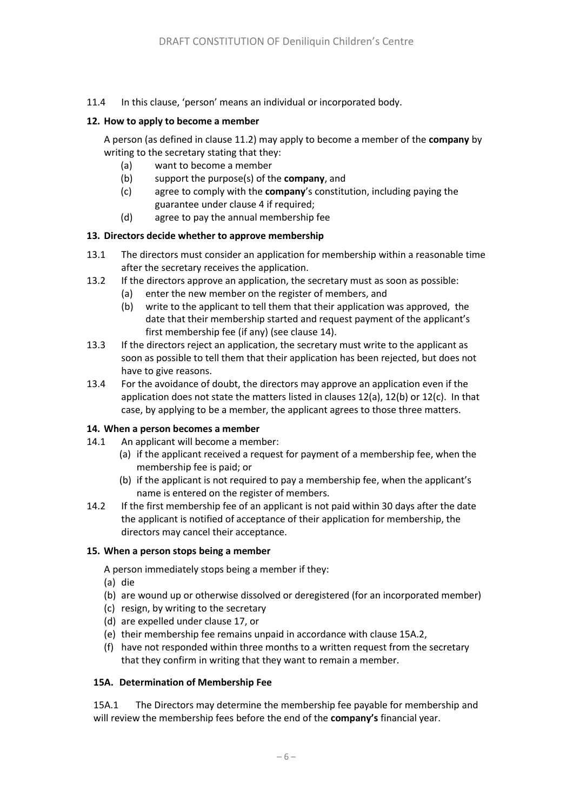11.4 In this clause, 'person' means an individual or incorporated body.

### <span id="page-9-0"></span>**12. How to apply to become a member**

A person (as defined in clause 11.2) may apply to become a member of the **company** by writing to the secretary stating that they:

- (a) want to become a member
- (b) support the purpose(s) of the **company**, and
- (c) agree to comply with the **company**'s constitution, including paying the guarantee under clause 4 if required;
- (d) agree to pay the annual membership fee

### **13. Directors decide whether to approve membership**

- 13.1 The directors must consider an application for membership within a reasonable time after the secretary receives the application.
- 13.2 If the directors approve an application, the secretary must as soon as possible:
	- (a) enter the new member on the register of members, and
	- (b) write to the applicant to tell them that their application was approved, the date that their membership started and request payment of the applicant's first membership fee (if any) (see claus[e 14\)](#page-9-1).
- 13.3 If the directors reject an application, the secretary must write to the applicant as soon as possible to tell them that their application has been rejected, but does not have to give reasons.
- 13.4 For the avoidance of doubt, the directors may approve an application even if the application does not state the matters listed in clauses 12(a), 12(b) or 12(c). In that case, by applying to be a member, the applicant agrees to those three matters.

#### <span id="page-9-1"></span>**14. When a person becomes a member**

- 14.1 An applicant will become a member:
	- (a) if the applicant received a request for payment of a membership fee, when the membership fee is paid; or
	- (b) if the applicant is not required to pay a membership fee, when the applicant's name is entered on the register of members.
- 14.2 If the first membership fee of an applicant is not paid within 30 days after the date the applicant is notified of acceptance of their application for membership, the directors may cancel their acceptance.

#### **15. When a person stops being a member**

A person immediately stops being a member if they:

- (a) die
- (b) are wound up or otherwise dissolved or deregistered (for an incorporated member)
- (c) resign, by writing to the secretary
- (d) are expelled under clause [17,](#page-5-0) or
- (e) their membership fee remains unpaid in accordance with clause 15A.2,
- (f) have not responded within three months to a written request from the secretary that they confirm in writing that they want to remain a member.

#### **15A. Determination of Membership Fee**

15A.1 The Directors may determine the membership fee payable for membership and will review the membership fees before the end of the **company's** financial year.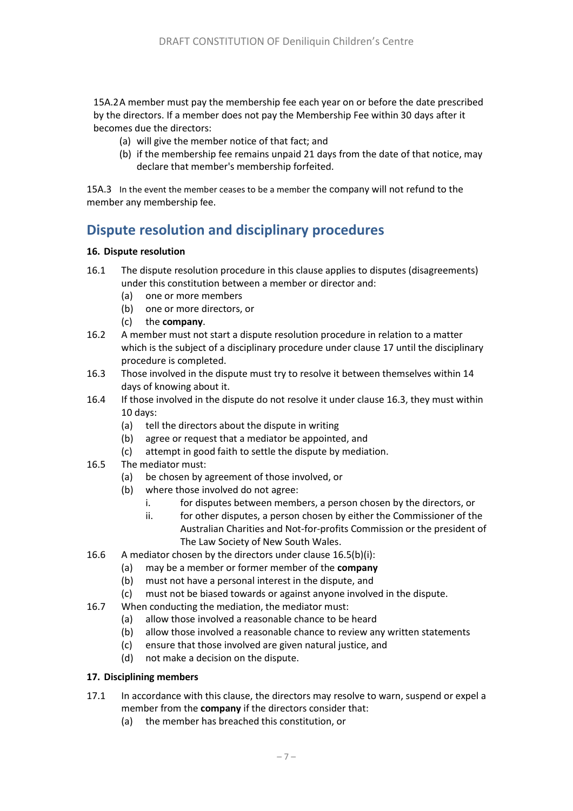15A.2A member must pay the membership fee each year on or before the date prescribed by the directors. If a member does not pay the Membership Fee within 30 days after it becomes due the directors:

- (a) will give the member notice of that fact; and
- (b) if the membership fee remains unpaid 21 days from the date of that notice, may declare that member's membership forfeited.

15A.3 In the event the member ceases to be a member the company will not refund to the member any membership fee.

# **Dispute resolution and disciplinary procedures**

### **16. Dispute resolution**

- 16.1 The dispute resolution procedure in this clause applies to disputes (disagreements) under this constitution between a member or director and:
	- (a) one or more members
	- (b) one or more directors, or
	- (c) the **company**.
- 16.2 A member must not start a dispute resolution procedure in relation to a matter which is the subject of a disciplinary procedure under clause 17 until the disciplinary procedure is completed.
- <span id="page-10-0"></span>16.3 Those involved in the dispute must try to resolve it between themselves within 14 days of knowing about it.
- 16.4 If those involved in the dispute do not resolve it under claus[e 16.3,](#page-10-0) they must within 10 days:
	- (a) tell the directors about the dispute in writing
	- (b) agree or request that a mediator be appointed, and
	- (c) attempt in good faith to settle the dispute by mediation.
- <span id="page-10-2"></span><span id="page-10-1"></span>16.5 The mediator must:
	- (a) be chosen by agreement of those involved, or
	- (b) where those involved do not agree:
		- i. for disputes between members, a person chosen by the directors, or
		- ii. for other disputes, a person chosen by either the Commissioner of the Australian Charities and Not-for-profits Commission or the president of The Law Society of New South Wales.
- 16.6 A mediator chosen by the directors under claus[e 16.5\(b\)](#page-10-1)[\(i\)](#page-10-2):
	- (a) may be a member or former member of the **company**
	- (b) must not have a personal interest in the dispute, and
	- (c) must not be biased towards or against anyone involved in the dispute.
- 16.7 When conducting the mediation, the mediator must:
	- (a) allow those involved a reasonable chance to be heard
	- (b) allow those involved a reasonable chance to review any written statements
	- (c) ensure that those involved are given natural justice, and
	- (d) not make a decision on the dispute.

### **17. Disciplining members**

- <span id="page-10-3"></span>17.1 In accordance with this clause, the directors may resolve to warn, suspend or expel a member from the **company** if the directors consider that:
	- (a) the member has breached this constitution, or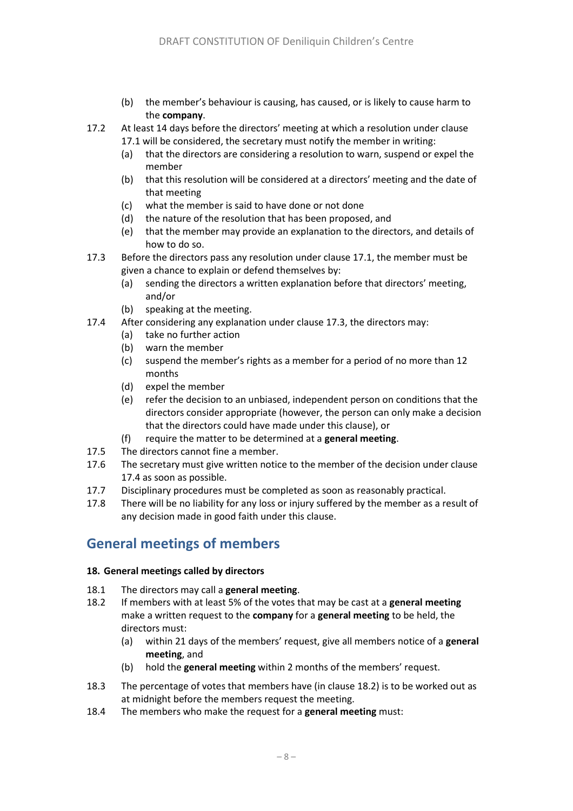- (b) the member's behaviour is causing, has caused, or is likely to cause harm to the **company**.
- 17.2 At least 14 days before the directors' meeting at which a resolution under clause [17.1](#page-10-3) will be considered, the secretary must notify the member in writing:
	- (a) that the directors are considering a resolution to warn, suspend or expel the member
	- (b) that this resolution will be considered at a directors' meeting and the date of that meeting
	- (c) what the member is said to have done or not done
	- (d) the nature of the resolution that has been proposed, and
	- (e) that the member may provide an explanation to the directors, and details of how to do so.
- <span id="page-11-0"></span>17.3 Before the directors pass any resolution under clause [17.1,](#page-10-3) the member must be given a chance to explain or defend themselves by:
	- (a) sending the directors a written explanation before that directors' meeting, and/or
	- (b) speaking at the meeting.
- <span id="page-11-1"></span>17.4 After considering any explanation under claus[e 17.3,](#page-11-0) the directors may:
	- (a) take no further action
	- (b) warn the member
	- (c) suspend the member's rights as a member for a period of no more than 12 months
	- (d) expel the member
	- (e) refer the decision to an unbiased, independent person on conditions that the directors consider appropriate (however, the person can only make a decision that the directors could have made under this clause), or
	- (f) require the matter to be determined at a **general meeting**.
- 17.5 The directors cannot fine a member.
- 17.6 The secretary must give written notice to the member of the decision under clause [17.4](#page-11-1) as soon as possible.
- 17.7 Disciplinary procedures must be completed as soon as reasonably practical.
- 17.8 There will be no liability for any loss or injury suffered by the member as a result of any decision made in good faith under this clause.

# **General meetings of members**

### **18. General meetings called by directors**

- 18.1 The directors may call a **general meeting**.
- <span id="page-11-2"></span>18.2 If members with at least 5% of the votes that may be cast at a **general meeting**  make a written request to the **company** for a **general meeting** to be held, the directors must:
	- (a) within 21 days of the members' request, give all members notice of a **general meeting**, and
	- (b) hold the **general meeting** within 2 months of the members' request.
- 18.3 The percentage of votes that members have (in clause [18.2\)](#page-11-2) is to be worked out as at midnight before the members request the meeting.
- 18.4 The members who make the request for a **general meeting** must: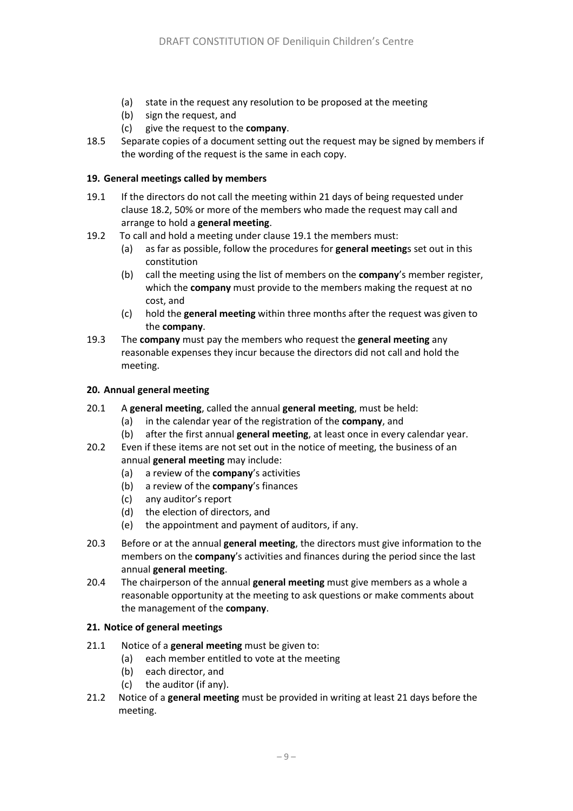- (a) state in the request any resolution to be proposed at the meeting
- (b) sign the request, and
- (c) give the request to the **company**.
- 18.5 Separate copies of a document setting out the request may be signed by members if the wording of the request is the same in each copy.

### **19. General meetings called by members**

- <span id="page-12-0"></span>19.1 If the directors do not call the meeting within 21 days of being requested under claus[e 18.2,](#page-11-2) 50% or more of the members who made the request may call and arrange to hold a **general meeting**.
- 19.2 To call and hold a meeting under clause [19.1](#page-12-0) the members must:
	- (a) as far as possible, follow the procedures for **general meeting**s set out in this constitution
	- (b) call the meeting using the list of members on the **company**'s member register, which the **company** must provide to the members making the request at no cost, and
	- (c) hold the **general meeting** within three months after the request was given to the **company**.
- 19.3 The **company** must pay the members who request the **general meeting** any reasonable expenses they incur because the directors did not call and hold the meeting.

### **20. Annual general meeting**

- <span id="page-12-1"></span>20.1 A **general meeting**, called the annual **general meeting**, must be held:
	- (a) in the calendar year of the registration of the **company**, and
	- (b) after the first annual **general meeting**, at least once in every calendar year.
- 20.2 Even if these items are not set out in the notice of meeting, the business of an annual **general meeting** may include:
	- (a) a review of the **company**'s activities
	- (b) a review of the **company**'s finances
	- (c) any auditor's report
	- (d) the election of directors, and
	- (e) the appointment and payment of auditors, if any.
- 20.3 Before or at the annual **general meeting**, the directors must give information to the members on the **company**'s activities and finances during the period since the last annual **general meeting**.
- 20.4 The chairperson of the annual **general meeting** must give members as a whole a reasonable opportunity at the meeting to ask questions or make comments about the management of the **company**.

### **21. Notice of general meetings**

- 21.1 Notice of a **general meeting** must be given to:
	- (a) each member entitled to vote at the meeting
	- (b) each director, and
	- (c) the auditor (if any).
- 21.2 Notice of a **general meeting** must be provided in writing at least 21 days before the meeting.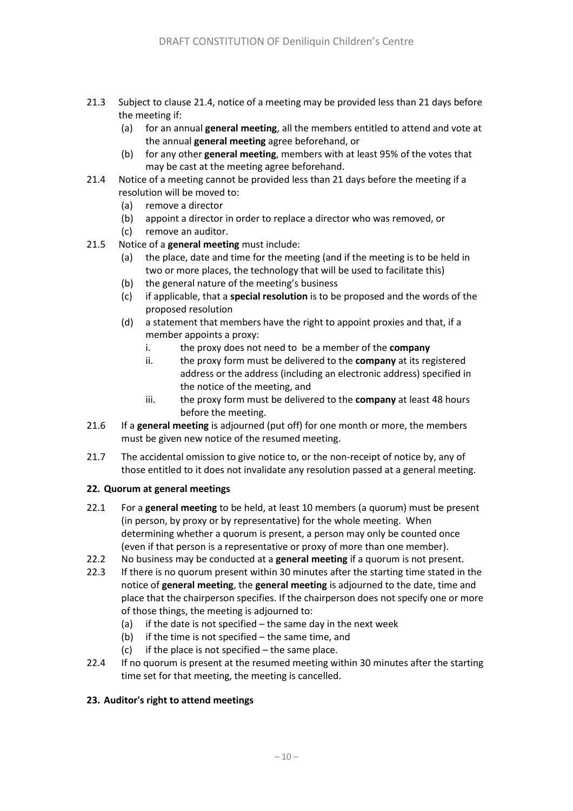- 21.3 Subject to clause [21.4,](#page-13-0) notice of a meeting may be provided less than 21 days before the meeting if:
	- (a) for an annual **general meeting**, all the members entitled to attend and vote at the annual **general meeting** agree beforehand, or
	- (b) for any other **general meeting**, members with at least 95% of the votes that may be cast at the meeting agree beforehand.
- <span id="page-13-0"></span>21.4 Notice of a meeting cannot be provided less than 21 days before the meeting if a resolution will be moved to:
	- (a) remove a director
	- (b) appoint a director in order to replace a director who was removed, or
	- (c) remove an auditor.
- <span id="page-13-2"></span><span id="page-13-1"></span>21.5 Notice of a **general meeting** must include:
	- (a) the place, date and time for the meeting (and if the meeting is to be held in two or more places, the technology that will be used to facilitate this)
	- (b) the general nature of the meeting's business
	- (c) if applicable, that a **special resolution** is to be proposed and the words of the proposed resolution
	- (d) a statement that members have the right to appoint proxies and that, if a member appoints a proxy:
		- i. the proxy does not need to be a member of the **company**
		- ii. the proxy form must be delivered to the **company** at its registered address or the address (including an electronic address) specified in the notice of the meeting, and
		- iii. the proxy form must be delivered to the **company** at least 48 hours before the meeting.
- 21.6 If a **general meeting** is adjourned (put off) for one month or more, the members must be given new notice of the resumed meeting.
- 21.7 The accidental omission to give notice to, or the non-receipt of notice by, any of those entitled to it does not invalidate any resolution passed at a general meeting.

### **22. Quorum at general meetings**

- 22.1 For a **general meeting** to be held, at least 10 members (a quorum) must be present (in person, by proxy or by representative) for the whole meeting. When determining whether a quorum is present, a person may only be counted once (even if that person is a representative or proxy of more than one member).
- 22.2 No business may be conducted at a **general meeting** if a quorum is not present.
- 22.3 If there is no quorum present within 30 minutes after the starting time stated in the notice of **general meeting**, the **general meeting** is adjourned to the date, time and place that the chairperson specifies. If the chairperson does not specify one or more of those things, the meeting is adjourned to:
	- (a) if the date is not specified  $-$  the same day in the next week
	- (b) if the time is not specified the same time, and
	- $(c)$  if the place is not specified the same place.
- 22.4 If no quorum is present at the resumed meeting within 30 minutes after the starting time set for that meeting, the meeting is cancelled.

### **23. Auditor's right to attend meetings**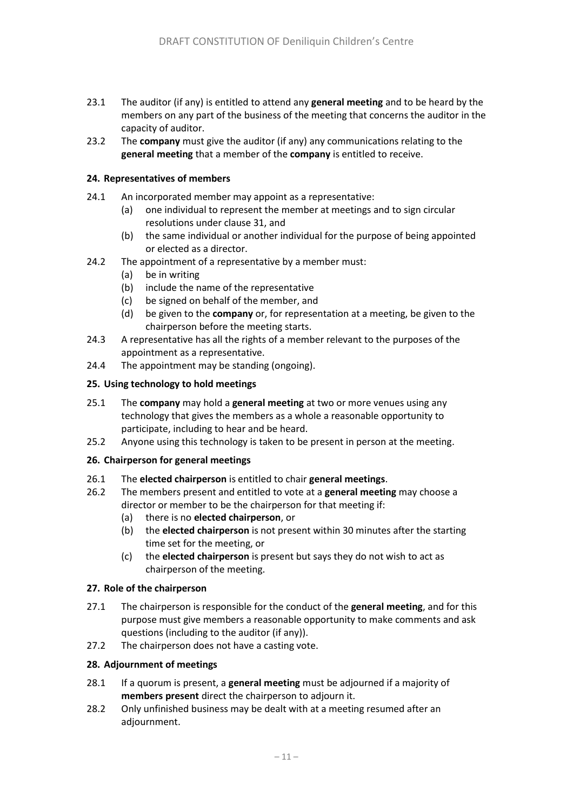- 23.1 The auditor (if any) is entitled to attend any **general meeting** and to be heard by the members on any part of the business of the meeting that concerns the auditor in the capacity of auditor.
- 23.2 The **company** must give the auditor (if any) any communications relating to the **general meeting** that a member of the **company** is entitled to receive.

### **24. Representatives of members**

- 24.1 An incorporated member may appoint as a representative:
	- (a) one individual to represent the member at meetings and to sign circular resolutions under clause 31, and
	- (b) the same individual or another individual for the purpose of being appointed or elected as a director.
- 24.2 The appointment of a representative by a member must:
	- (a) be in writing
	- (b) include the name of the representative
	- (c) be signed on behalf of the member, and
	- (d) be given to the **company** or, for representation at a meeting, be given to the chairperson before the meeting starts.
- 24.3 A representative has all the rights of a member relevant to the purposes of the appointment as a representative.
- 24.4 The appointment may be standing (ongoing).

### **25. Using technology to hold meetings**

- 25.1 The **company** may hold a **general meeting** at two or more venues using any technology that gives the members as a whole a reasonable opportunity to participate, including to hear and be heard.
- 25.2 Anyone using this technology is taken to be present in person at the meeting.

### **26. Chairperson for general meetings**

- 26.1 The **elected chairperson** is entitled to chair **general meetings**.
- <span id="page-14-0"></span>26.2 The members present and entitled to vote at a **general meeting** may choose a director or member to be the chairperson for that meeting if:
	- (a) there is no **elected chairperson**, or
	- (b) the **elected chairperson** is not present within 30 minutes after the starting time set for the meeting, or
	- (c) the **elected chairperson** is present but says they do not wish to act as chairperson of the meeting.

#### **27. Role of the chairperson**

- 27.1 The chairperson is responsible for the conduct of the **general meeting**, and for this purpose must give members a reasonable opportunity to make comments and ask questions (including to the auditor (if any)).
- 27.2 The chairperson does not have a casting vote.

#### **28. Adjournment of meetings**

- 28.1 If a quorum is present, a **general meeting** must be adjourned if a majority of **members present** direct the chairperson to adjourn it.
- 28.2 Only unfinished business may be dealt with at a meeting resumed after an adjournment.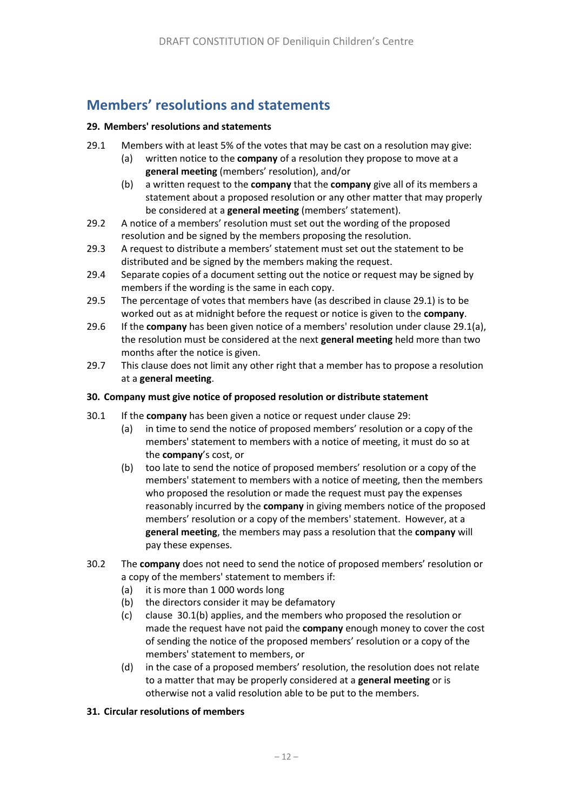# **Members' resolutions and statements**

### **29. Members' resolutions and statements**

- <span id="page-15-1"></span><span id="page-15-0"></span>29.1 Members with at least 5% of the votes that may be cast on a resolution may give:
	- (a) written notice to the **company** of a resolution they propose to move at a **general meeting** (members' resolution), and/or
	- (b) a written request to the **company** that the **company** give all of its members a statement about a proposed resolution or any other matter that may properly be considered at a **general meeting** (members' statement).
- 29.2 A notice of a members' resolution must set out the wording of the proposed resolution and be signed by the members proposing the resolution.
- 29.3 A request to distribute a members' statement must set out the statement to be distributed and be signed by the members making the request.
- 29.4 Separate copies of a document setting out the notice or request may be signed by members if the wording is the same in each copy.
- 29.5 The percentage of votes that members have (as described in clause [29.1\)](#page-15-0) is to be worked out as at midnight before the request or notice is given to the **company**.
- 29.6 If the **company** has been given notice of a members' resolution under claus[e 29.1\(a\),](#page-15-1) the resolution must be considered at the next **general meeting** held more than two months after the notice is given.
- 29.7 This clause does not limit any other right that a member has to propose a resolution at a **general meeting**.

### **30. Company must give notice of proposed resolution or distribute statement**

- <span id="page-15-2"></span>30.1 If the **company** has been given a notice or request under clause [29:](#page-5-1)
	- (a) in time to send the notice of proposed members' resolution or a copy of the members' statement to members with a notice of meeting, it must do so at the **company**'s cost, or
	- (b) too late to send the notice of proposed members' resolution or a copy of the members' statement to members with a notice of meeting, then the members who proposed the resolution or made the request must pay the expenses reasonably incurred by the **company** in giving members notice of the proposed members' resolution or a copy of the members' statement. However, at a **general meeting**, the members may pass a resolution that the **company** will pay these expenses.
- 30.2 The **company** does not need to send the notice of proposed members' resolution or a copy of the members' statement to members if:
	- (a) it is more than 1 000 words long
	- (b) the directors consider it may be defamatory
	- (c) clause [30.1\(b\)](#page-15-2) applies, and the members who proposed the resolution or made the request have not paid the **company** enough money to cover the cost of sending the notice of the proposed members' resolution or a copy of the members' statement to members, or
	- (d) in the case of a proposed members' resolution, the resolution does not relate to a matter that may be properly considered at a **general meeting** or is otherwise not a valid resolution able to be put to the members.

### **31. Circular resolutions of members**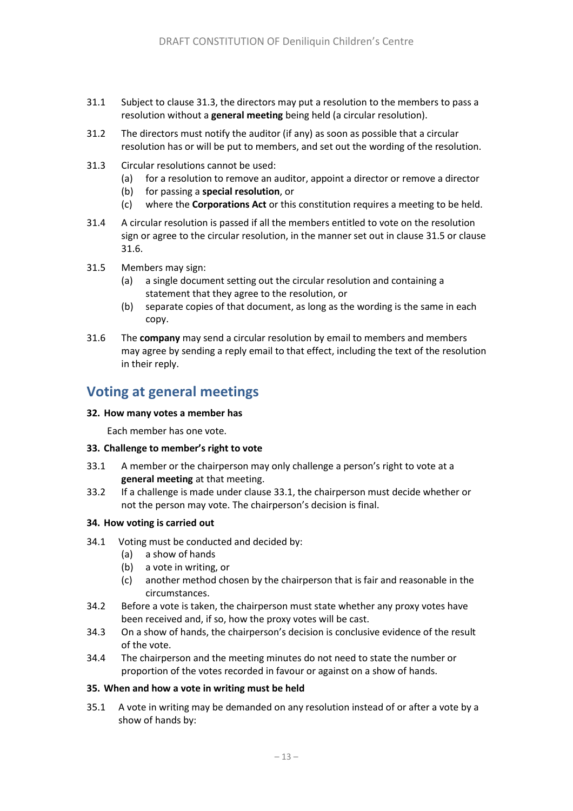- 31.1 Subject to clause [31.3,](#page-16-0) the directors may put a resolution to the members to pass a resolution without a **general meeting** being held (a circular resolution).
- 31.2 The directors must notify the auditor (if any) as soon as possible that a circular resolution has or will be put to members, and set out the wording of the resolution.
- <span id="page-16-0"></span>31.3 Circular resolutions cannot be used:
	- (a) for a resolution to remove an auditor, appoint a director or remove a director
	- (b) for passing a **special resolution**, or
	- (c) where the **Corporations Act** or this constitution requires a meeting to be held.
- 31.4 A circular resolution is passed if all the members entitled to vote on the resolution sign or agree to the circular resolution, in the manner set out in clause [31.5](#page-16-1) or clause 31.6.
- <span id="page-16-1"></span>31.5 Members may sign:
	- (a) a single document setting out the circular resolution and containing a statement that they agree to the resolution, or
	- (b) separate copies of that document, as long as the wording is the same in each copy.
- 31.6 The **company** may send a circular resolution by email to members and members may agree by sending a reply email to that effect, including the text of the resolution in their reply.

### **Voting at general meetings**

#### **32. How many votes a member has**

Each member has one vote.

#### **33. Challenge to member's right to vote**

- <span id="page-16-2"></span>33.1 A member or the chairperson may only challenge a person's right to vote at a **general meeting** at that meeting.
- 33.2 If a challenge is made under clause [33.1,](#page-16-2) the chairperson must decide whether or not the person may vote. The chairperson's decision is final.

#### **34. How voting is carried out**

- 34.1 Voting must be conducted and decided by:
	- (a) a show of hands
	- (b) a vote in writing, or
	- (c) another method chosen by the chairperson that is fair and reasonable in the circumstances.
- 34.2 Before a vote is taken, the chairperson must state whether any proxy votes have been received and, if so, how the proxy votes will be cast.
- 34.3 On a show of hands, the chairperson's decision is conclusive evidence of the result of the vote.
- 34.4 The chairperson and the meeting minutes do not need to state the number or proportion of the votes recorded in favour or against on a show of hands.

#### **35. When and how a vote in writing must be held**

<span id="page-16-3"></span>35.1 A vote in writing may be demanded on any resolution instead of or after a vote by a show of hands by: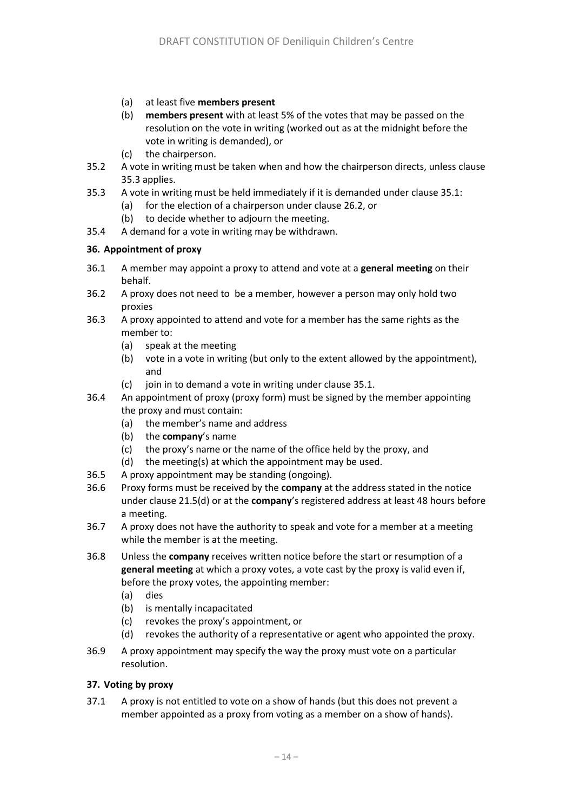- (a) at least five **members present**
- (b) **members present** with at least 5% of the votes that may be passed on the resolution on the vote in writing (worked out as at the midnight before the vote in writing is demanded), or
- (c) the chairperson.
- 35.2 A vote in writing must be taken when and how the chairperson directs, unless clause [35.3](#page-17-0) applies.
- <span id="page-17-0"></span>35.3 A vote in writing must be held immediately if it is demanded under claus[e 35.1:](#page-16-3)
	- (a) for the election of a chairperson under clause [26.2,](#page-14-0) or
	- (b) to decide whether to adjourn the meeting.
- 35.4 A demand for a vote in writing may be withdrawn.

### **36. Appointment of proxy**

- 36.1 A member may appoint a proxy to attend and vote at a **general meeting** on their behalf.
- 36.2 A proxy does not need to be a member, however a person may only hold two proxies
- 36.3 A proxy appointed to attend and vote for a member has the same rights as the member to:
	- (a) speak at the meeting
	- (b) vote in a vote in writing (but only to the extent allowed by the appointment), and
	- (c) join in to demand a vote in writing under clause [35.1.](#page-16-3)
- 36.4 An appointment of proxy (proxy form) must be signed by the member appointing the proxy and must contain:
	- (a) the member's name and address
	- (b) the **company**'s name
	- (c) the proxy's name or the name of the office held by the proxy, and
	- (d) the meeting(s) at which the appointment may be used.
- 36.5 A proxy appointment may be standing (ongoing).
- <span id="page-17-1"></span>36.6 Proxy forms must be received by the **company** at the address stated in the notice under claus[e 21.5\(d\)](#page-13-1) or at the **company**'s registered address at least 48 hours before a meeting.
- 36.7 A proxy does not have the authority to speak and vote for a member at a meeting while the member is at the meeting.
- 36.8 Unless the **company** receives written notice before the start or resumption of a **general meeting** at which a proxy votes, a vote cast by the proxy is valid even if, before the proxy votes, the appointing member:
	- (a) dies
	- (b) is mentally incapacitated
	- (c) revokes the proxy's appointment, or
	- (d) revokes the authority of a representative or agent who appointed the proxy.
- 36.9 A proxy appointment may specify the way the proxy must vote on a particular resolution.

### **37. Voting by proxy**

37.1 A proxy is not entitled to vote on a show of hands (but this does not prevent a member appointed as a proxy from voting as a member on a show of hands).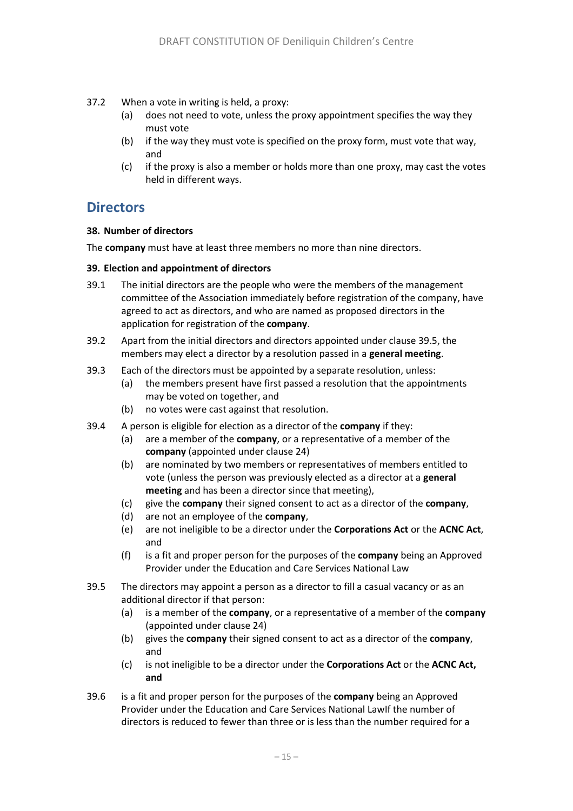- 37.2 When a vote in writing is held, a proxy:
	- (a) does not need to vote, unless the proxy appointment specifies the way they must vote
	- (b) if the way they must vote is specified on the proxy form, must vote that way, and
	- (c) if the proxy is also a member or holds more than one proxy, may cast the votes held in different ways.

### **Directors**

### **38. Number of directors**

The **company** must have at least three members no more than nine directors.

### **39. Election and appointment of directors**

- 39.1 The initial directors are the people who were the members of the management committee of the Association immediately before registration of the company, have agreed to act as directors, and who are named as proposed directors in the application for registration of the **company**.
- 39.2 Apart from the initial directors and directors appointed under clause [39.](#page-5-2)5, the members may elect a director by a resolution passed in a **general meeting**.
- 39.3 Each of the directors must be appointed by a separate resolution, unless:
	- (a) the members present have first passed a resolution that the appointments may be voted on together, and
	- (b) no votes were cast against that resolution.
- 39.4 A person is eligible for election as a director of the **company** if they:
	- (a) are a member of the **company**, or a representative of a member of the **company** (appointed under clause 24)
	- (b) are nominated by two members or representatives of members entitled to vote (unless the person was previously elected as a director at a **general meeting** and has been a director since that meeting),
	- (c) give the **company** their signed consent to act as a director of the **company**,
	- (d) are not an employee of the **company**,
	- (e) are not ineligible to be a director under the **Corporations Act** or the **ACNC Act**, and
	- (f) is a fit and proper person for the purposes of the **company** being an Approved Provider under the Education and Care Services National Law
- 39.5 The directors may appoint a person as a director to fill a casual vacancy or as an additional director if that person:
	- (a) is a member of the **company**, or a representative of a member of the **company**  (appointed under clause 24)
	- (b) gives the **company** their signed consent to act as a director of the **company**, and
	- (c) is not ineligible to be a director under the **Corporations Act** or the **ACNC Act, and**
- 39.6 is a fit and proper person for the purposes of the **company** being an Approved Provider under the Education and Care Services National LawIf the number of directors is reduced to fewer than three or is less than the number required for a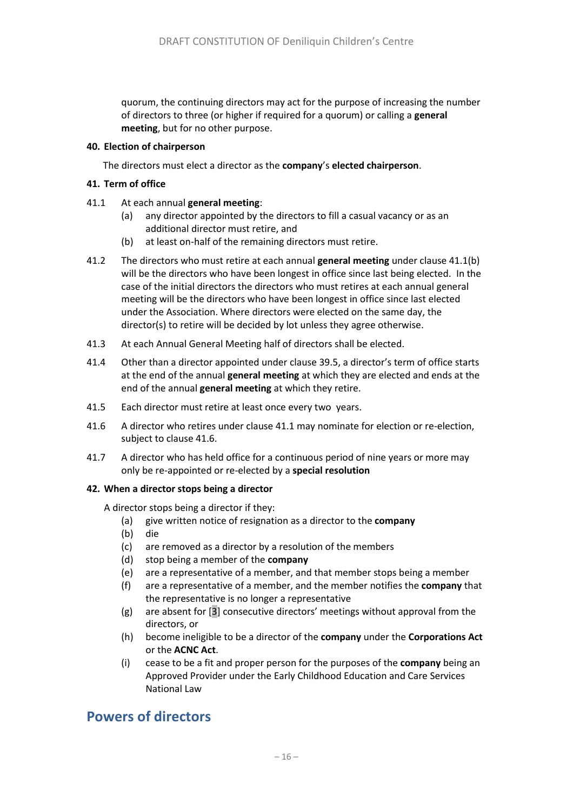quorum, the continuing directors may act for the purpose of increasing the number of directors to three (or higher if required for a quorum) or calling a **general meeting**, but for no other purpose.

### <span id="page-19-2"></span>**40. Election of chairperson**

The directors must elect a director as the **company**'s **elected chairperson**.

### **41. Term of office**

- <span id="page-19-1"></span>41.1 At each annual **general meeting**:
	- (a) any director appointed by the directors to fill a casual vacancy or as an additional director must retire, and
	- (b) at least on-half of the remaining directors must retire.
- <span id="page-19-0"></span>41.2 The directors who must retire at each annual **general meeting** under clause [41.1\(b\)](#page-19-0) will be the directors who have been longest in office since last being elected. In the case of the initial directors the directors who must retires at each annual general meeting will be the directors who have been longest in office since last elected under the Association. Where directors were elected on the same day, the director(s) to retire will be decided by lot unless they agree otherwise.
- 41.3 At each Annual General Meeting half of directors shall be elected.
- 41.4 Other than a director appointed under clause [39](#page-5-2).5, a director's term of office starts at the end of the annual **general meeting** at which they are elected and ends at the end of the annual **general meeting** at which they retire.
- 41.5 Each director must retire at least once every two years.
- 41.6 A director who retires under clause [41.1](#page-19-1) may nominate for election or re-election, subject to clause 41.6.
- 41.7 A director who has held office for a continuous period of nine years or more may only be re-appointed or re-elected by a **special resolution**

### **42. When a director stops being a director**

A director stops being a director if they:

- (a) give written notice of resignation as a director to the **company**
- (b) die
- (c) are removed as a director by a resolution of the members
- (d) stop being a member of the **company**
- (e) are a representative of a member, and that member stops being a member
- (f) are a representative of a member, and the member notifies the **company** that the representative is no longer a representative
- (g) are absent for [3] consecutive directors' meetings without approval from the directors, or
- (h) become ineligible to be a director of the **company** under the **Corporations Act** or the **ACNC Act**.
- (i) cease to be a fit and proper person for the purposes of the **company** being an Approved Provider under the Early Childhood Education and Care Services National Law

### **Powers of directors**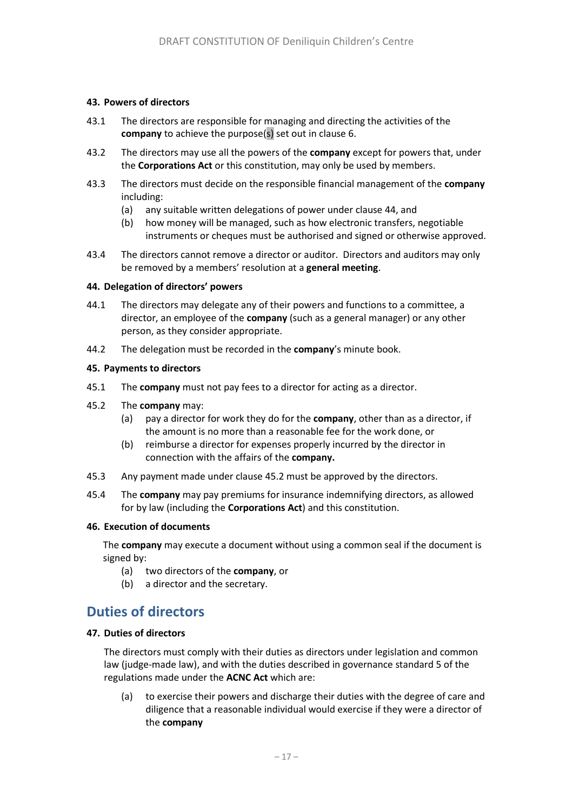### **43. Powers of directors**

- 43.1 The directors are responsible for managing and directing the activities of the **company** to achieve the purpose(s) set out in clause [6.](#page-5-3)
- 43.2 The directors may use all the powers of the **company** except for powers that, under the **Corporations Act** or this constitution, may only be used by members.
- 43.3 The directors must decide on the responsible financial management of the **company** including:
	- (a) any suitable written delegations of power under clause [44,](#page-5-4) and
	- (b) how money will be managed, such as how electronic transfers, negotiable instruments or cheques must be authorised and signed or otherwise approved.
- 43.4 The directors cannot remove a director or auditor. Directors and auditors may only be removed by a members' resolution at a **general meeting**.

#### **44. Delegation of directors' powers**

- 44.1 The directors may delegate any of their powers and functions to a committee, a director, an employee of the **company** (such as a general manager) or any other person, as they consider appropriate.
- 44.2 The delegation must be recorded in the **company**'s minute book.

#### **45. Payments to directors**

- 45.1 The **company** must not pay fees to a director for acting as a director.
- <span id="page-20-0"></span>45.2 The **company** may:
	- (a) pay a director for work they do for the **company**, other than as a director, if the amount is no more than a reasonable fee for the work done, or
	- (b) reimburse a director for expenses properly incurred by the director in connection with the affairs of the **company.**
- 45.3 Any payment made under clause [45.2](#page-20-0) must be approved by the directors.
- 45.4 The **company** may pay premiums for insurance indemnifying directors, as allowed for by law (including the **Corporations Act**) and this constitution.

### **46. Execution of documents**

The **company** may execute a document without using a common seal if the document is signed by:

- (a) two directors of the **company**, or
- (b) a director and the secretary.

### **Duties of directors**

#### **47. Duties of directors**

The directors must comply with their duties as directors under legislation and common law (judge-made law), and with the duties described in governance standard 5 of the regulations made under the **ACNC Act** which are:

(a) to exercise their powers and discharge their duties with the degree of care and diligence that a reasonable individual would exercise if they were a director of the **company**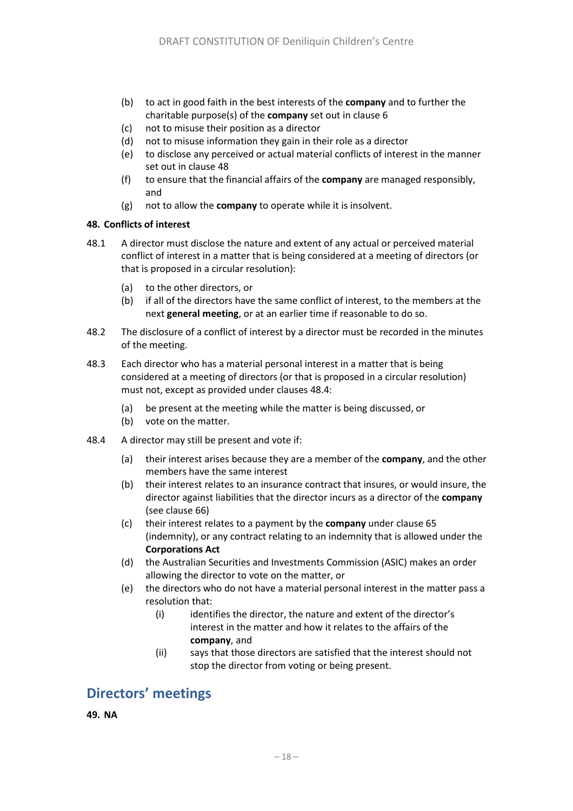- (b) to act in good faith in the best interests of the **company** and to further the charitable purpose(s) of the **company** set out in clause [6](#page-5-3)
- (c) not to misuse their position as a director
- (d) not to misuse information they gain in their role as a director
- (e) to disclose any perceived or actual material conflicts of interest in the manner set out in clause [48](#page-21-0)
- (f) to ensure that the financial affairs of the **company** are managed responsibly, and
- (g) not to allow the **company** to operate while it is insolvent.

### <span id="page-21-0"></span>**48. Conflicts of interest**

- 48.1 A director must disclose the nature and extent of any actual or perceived material conflict of interest in a matter that is being considered at a meeting of directors (or that is proposed in a circular resolution):
	- (a) to the other directors, or
	- (b) if all of the directors have the same conflict of interest, to the members at the next **general meeting**, or at an earlier time if reasonable to do so.
- 48.2 The disclosure of a conflict of interest by a director must be recorded in the minutes of the meeting.
- 48.3 Each director who has a material personal interest in a matter that is being considered at a meeting of directors (or that is proposed in a circular resolution) must not, except as provided under clauses [48.4:](#page-21-1)
	- (a) be present at the meeting while the matter is being discussed, or
	- (b) vote on the matter.
- <span id="page-21-1"></span>48.4 A director may still be present and vote if:
	- (a) their interest arises because they are a member of the **company**, and the other members have the same interest
	- (b) their interest relates to an insurance contract that insures, or would insure, the director against liabilities that the director incurs as a director of the **company** (see clause [66\)](#page-25-0)
	- (c) their interest relates to a payment by the **company** under clause [65](#page-25-1) (indemnity), or any contract relating to an indemnity that is allowed under the **Corporations Act**
	- (d) the Australian Securities and Investments Commission (ASIC) makes an order allowing the director to vote on the matter, or
	- (e) the directors who do not have a material personal interest in the matter pass a resolution that:
		- (i) identifies the director, the nature and extent of the director's interest in the matter and how it relates to the affairs of the **company**, and
		- (ii) says that those directors are satisfied that the interest should not stop the director from voting or being present.

# **Directors' meetings**

**49. NA**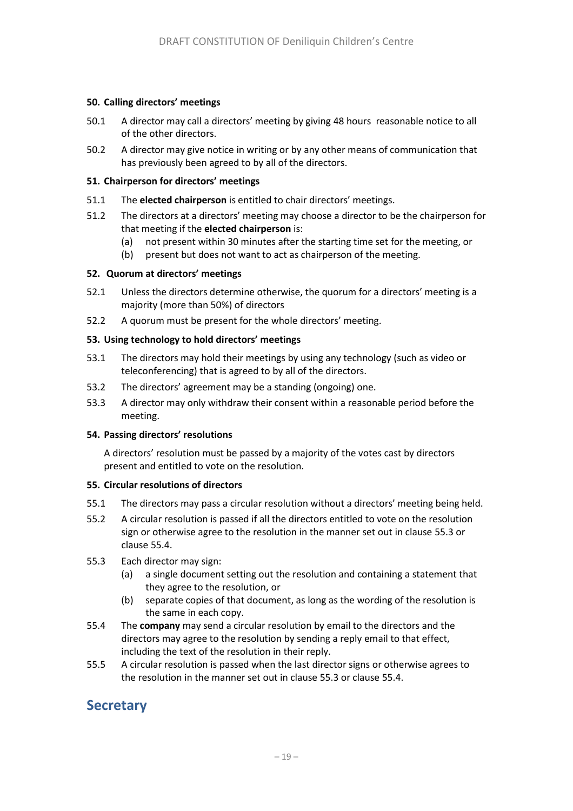### **50. Calling directors' meetings**

- 50.1 A director may call a directors' meeting by giving 48 hours reasonable notice to all of the other directors.
- 50.2 A director may give notice in writing or by any other means of communication that has previously been agreed to by all of the directors.

### **51. Chairperson for directors' meetings**

- 51.1 The **elected chairperson** is entitled to chair directors' meetings.
- 51.2 The directors at a directors' meeting may choose a director to be the chairperson for that meeting if the **elected chairperson** is:
	- (a) not present within 30 minutes after the starting time set for the meeting, or
	- (b) present but does not want to act as chairperson of the meeting.

### **52. Quorum at directors' meetings**

- 52.1 Unless the directors determine otherwise, the quorum for a directors' meeting is a majority (more than 50%) of directors
- 52.2 A quorum must be present for the whole directors' meeting.

### **53. Using technology to hold directors' meetings**

- 53.1 The directors may hold their meetings by using any technology (such as video or teleconferencing) that is agreed to by all of the directors.
- 53.2 The directors' agreement may be a standing (ongoing) one.
- 53.3 A director may only withdraw their consent within a reasonable period before the meeting.

#### **54. Passing directors' resolutions**

A directors' resolution must be passed by a majority of the votes cast by directors present and entitled to vote on the resolution.

#### **55. Circular resolutions of directors**

- 55.1 The directors may pass a circular resolution without a directors' meeting being held.
- 55.2 A circular resolution is passed if all the directors entitled to vote on the resolution sign or otherwise agree to the resolution in the manner set out in clause [55.3](#page-22-0) or claus[e 55.4.](#page-22-1)
- <span id="page-22-0"></span>55.3 Each director may sign:
	- (a) a single document setting out the resolution and containing a statement that they agree to the resolution, or
	- (b) separate copies of that document, as long as the wording of the resolution is the same in each copy.
- <span id="page-22-1"></span>55.4 The **company** may send a circular resolution by email to the directors and the directors may agree to the resolution by sending a reply email to that effect, including the text of the resolution in their reply.
- 55.5 A circular resolution is passed when the last director signs or otherwise agrees to the resolution in the manner set out in clause [55.3](#page-22-0) or claus[e 55.4.](#page-22-1)

# **Secretary**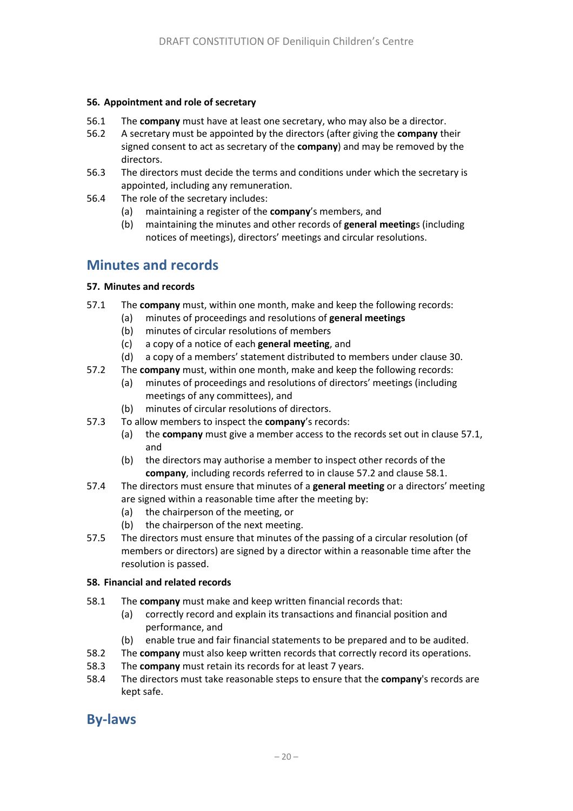### **56. Appointment and role of secretary**

- 56.1 The **company** must have at least one secretary, who may also be a director.
- 56.2 A secretary must be appointed by the directors (after giving the **company** their signed consent to act as secretary of the **company**) and may be removed by the directors.
- 56.3 The directors must decide the terms and conditions under which the secretary is appointed, including any remuneration.
- 56.4 The role of the secretary includes:
	- (a) maintaining a register of the **company**'s members, and
	- (b) maintaining the minutes and other records of **general meeting**s (including notices of meetings), directors' meetings and circular resolutions.

# **Minutes and records**

### **57. Minutes and records**

- <span id="page-23-0"></span>57.1 The **company** must, within one month, make and keep the following records:
	- (a) minutes of proceedings and resolutions of **general meetings**
		- (b) minutes of circular resolutions of members
		- (c) a copy of a notice of each **general meeting**, and
		- (d) a copy of a members' statement distributed to members under claus[e 30.](#page-5-5)
- <span id="page-23-1"></span>57.2 The **company** must, within one month, make and keep the following records:
	- (a) minutes of proceedings and resolutions of directors' meetings (including meetings of any committees), and
	- (b) minutes of circular resolutions of directors.
- 57.3 To allow members to inspect the **company**'s records:
	- (a) the **company** must give a member access to the records set out in claus[e 57.1,](#page-23-0) and
	- (b) the directors may authorise a member to inspect other records of the **company**, including records referred to in clause [57.2](#page-23-1) and clause [58.1.](#page-23-2)
- 57.4 The directors must ensure that minutes of a **general meeting** or a directors' meeting are signed within a reasonable time after the meeting by:
	- (a) the chairperson of the meeting, or
	- (b) the chairperson of the next meeting.
- 57.5 The directors must ensure that minutes of the passing of a circular resolution (of members or directors) are signed by a director within a reasonable time after the resolution is passed.

#### **58. Financial and related records**

- <span id="page-23-2"></span>58.1 The **company** must make and keep written financial records that:
	- (a) correctly record and explain its transactions and financial position and performance, and
	- (b) enable true and fair financial statements to be prepared and to be audited.
- 58.2 The **company** must also keep written records that correctly record its operations.
- 58.3 The **company** must retain its records for at least 7 years.
- 58.4 The directors must take reasonable steps to ensure that the **company**'s records are kept safe.

### **By-laws**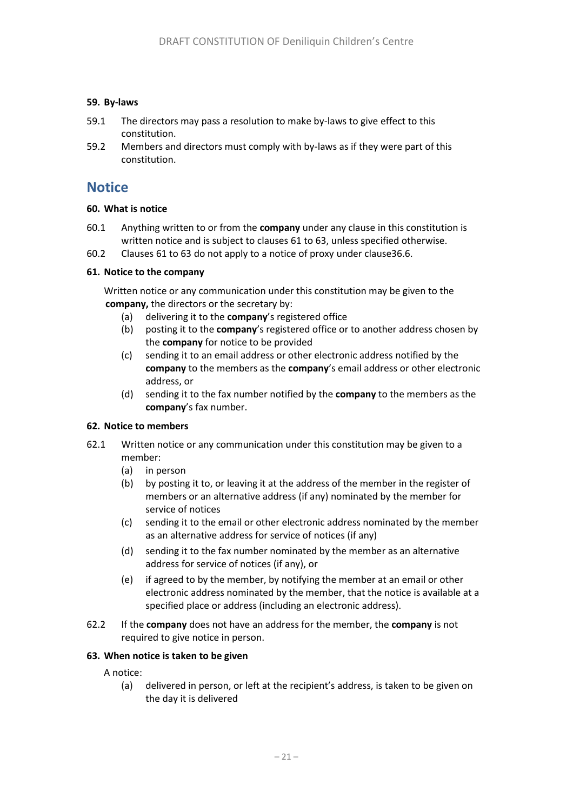### **59. By-laws**

- 59.1 The directors may pass a resolution to make by-laws to give effect to this constitution.
- 59.2 Members and directors must comply with by-laws as if they were part of this constitution.

### **Notice**

### **60. What is notice**

- 60.1 Anything written to or from the **company** under any clause in this constitution is written notice and is subject to clauses [61](#page-24-0) t[o 63,](#page-24-1) unless specified otherwise.
- 60.2 Clauses [61](#page-24-0) t[o 63](#page-24-1) do not apply to a notice of proxy under claus[e36.6.](#page-17-1)

### <span id="page-24-0"></span>**61. Notice to the company**

Written notice or any communication under this constitution may be given to the **company,** the directors or the secretary by:

- (a) delivering it to the **company**'s registered office
- (b) posting it to the **company**'s registered office or to another address chosen by the **company** for notice to be provided
- (c) sending it to an email address or other electronic address notified by the **company** to the members as the **company**'s email address or other electronic address, or
- (d) sending it to the fax number notified by the **company** to the members as the **company**'s fax number.

#### **62. Notice to members**

- 62.1 Written notice or any communication under this constitution may be given to a member:
	- (a) in person
	- (b) by posting it to, or leaving it at the address of the member in the register of members or an alternative address (if any) nominated by the member for service of notices
	- (c) sending it to the email or other electronic address nominated by the member as an alternative address for service of notices (if any)
	- (d) sending it to the fax number nominated by the member as an alternative address for service of notices (if any), or
	- (e) if agreed to by the member, by notifying the member at an email or other electronic address nominated by the member, that the notice is available at a specified place or address (including an electronic address).
- 62.2 If the **company** does not have an address for the member, the **company** is not required to give notice in person.

### <span id="page-24-1"></span>**63. When notice is taken to be given**

A notice:

(a) delivered in person, or left at the recipient's address, is taken to be given on the day it is delivered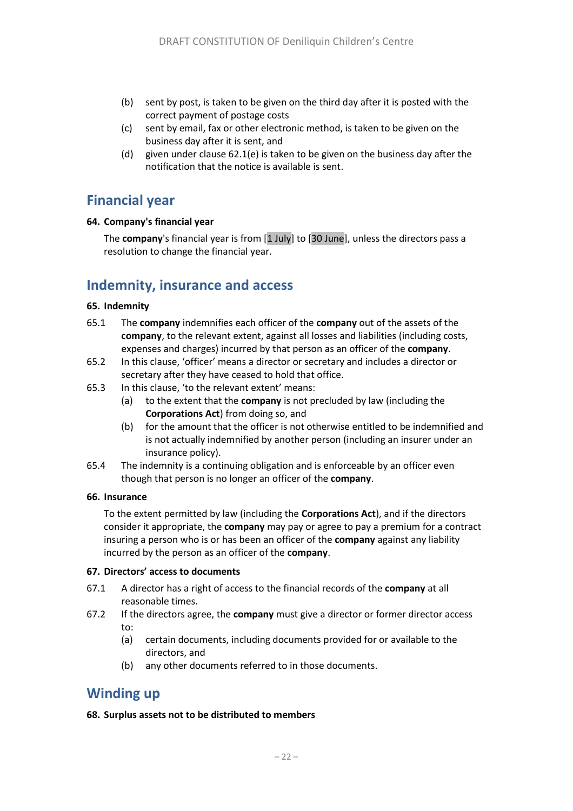- (b) sent by post, is taken to be given on the third day after it is posted with the correct payment of postage costs
- (c) sent by email, fax or other electronic method, is taken to be given on the business day after it is sent, and
- (d) given under clause 62.1(e) is taken to be given on the business day after the notification that the notice is available is sent.

### **Financial year**

### **64. Company's financial year**

The **company**'s financial year is from [1 July] to [30 June], unless the directors pass a resolution to change the financial year.

### **Indemnity, insurance and access**

### <span id="page-25-1"></span>**65. Indemnity**

- 65.1 The **company** indemnifies each officer of the **company** out of the assets of the **company**, to the relevant extent, against all losses and liabilities (including costs, expenses and charges) incurred by that person as an officer of the **company**.
- 65.2 In this clause, 'officer' means a director or secretary and includes a director or secretary after they have ceased to hold that office.
- 65.3 In this clause, 'to the relevant extent' means:
	- (a) to the extent that the **company** is not precluded by law (including the **Corporations Act**) from doing so, and
	- (b) for the amount that the officer is not otherwise entitled to be indemnified and is not actually indemnified by another person (including an insurer under an insurance policy).
- 65.4 The indemnity is a continuing obligation and is enforceable by an officer even though that person is no longer an officer of the **company**.

#### <span id="page-25-0"></span>**66. Insurance**

To the extent permitted by law (including the **Corporations Act**), and if the directors consider it appropriate, the **company** may pay or agree to pay a premium for a contract insuring a person who is or has been an officer of the **company** against any liability incurred by the person as an officer of the **company**.

#### **67. Directors' access to documents**

- 67.1 A director has a right of access to the financial records of the **company** at all reasonable times.
- 67.2 If the directors agree, the **company** must give a director or former director access to:
	- (a) certain documents, including documents provided for or available to the directors, and
	- (b) any other documents referred to in those documents.

### **Winding up**

### **68. Surplus assets not to be distributed to members**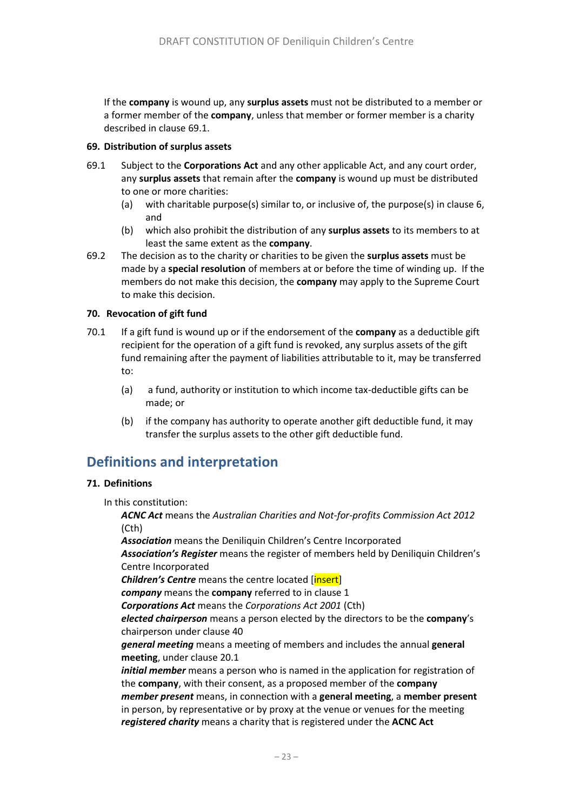If the **company** is wound up, any **surplus assets** must not be distributed to a member or a former member of the **company**, unless that member or former member is a charity described in clause [69.1.](#page-26-2)

### <span id="page-26-1"></span>**69. Distribution of surplus assets**

- <span id="page-26-2"></span>69.1 Subject to the **Corporations Act** and any other applicable Act, and any court order, any **surplus assets** that remain after the **company** is wound up must be distributed to one or more charities:
	- (a) with charitable purpose(s) similar to, or inclusive of, the purpose(s) in clause [6,](#page-5-3) and
	- (b) which also prohibit the distribution of any **surplus assets** to its members to at least the same extent as the **company**.
- 69.2 The decision as to the charity or charities to be given the **surplus assets** must be made by a **special resolution** of members at or before the time of winding up. If the members do not make this decision, the **company** may apply to the Supreme Court to make this decision.

### **70. Revocation of gift fund**

- 70.1 If a gift fund is wound up or if the endorsement of the **company** as a deductible gift recipient for the operation of a gift fund is revoked, any surplus assets of the gift fund remaining after the payment of liabilities attributable to it, may be transferred to:
	- (a) a fund, authority or institution to which income tax-deductible gifts can be made; or
	- (b) if the company has authority to operate another gift deductible fund, it may transfer the surplus assets to the other gift deductible fund.

# **Definitions and interpretation**

### <span id="page-26-0"></span>**71. Definitions**

In this constitution:

*ACNC Act* means the *Australian Charities and Not-for-profits Commission Act 2012*  (Cth)

*Association* means the Deniliquin Children's Centre Incorporated *Association's Register* means the register of members held by Deniliquin Children's Centre Incorporated **Children's Centre** means the centre located [*insert*]

*company* means the **company** referred to in clause [1](#page-7-3)

*Corporations Act* means the *Corporations Act 2001* (Cth)

*elected chairperson* means a person elected by the directors to be the **company**'s chairperson under clause [40](#page-19-2)

*general meeting* means a meeting of members and includes the annual **general meeting**, under claus[e 20.1](#page-12-1)

*initial member* means a person who is named in the application for registration of the **company**, with their consent, as a proposed member of the **company** *member present* means, in connection with a **general meeting**, a **member present** in person, by representative or by proxy at the venue or venues for the meeting *registered charity* means a charity that is registered under the **ACNC Act**